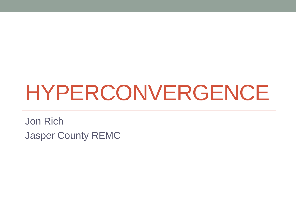# HYPERCONVERGENCE

Jon Rich Jasper County REMC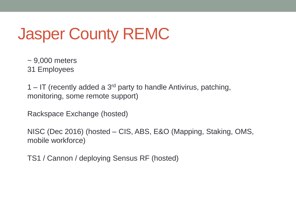## Jasper County REMC

 $\sim$  9,000 meters 31 Employees

 $1 - I$ T (recently added a 3<sup>rd</sup> party to handle Antivirus, patching, monitoring, some remote support)

Rackspace Exchange (hosted)

NISC (Dec 2016) (hosted – CIS, ABS, E&O (Mapping, Staking, OMS, mobile workforce)

TS1 / Cannon / deploying Sensus RF (hosted)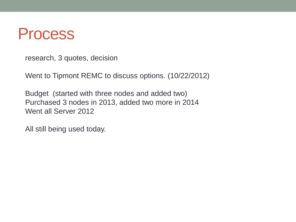#### Process

research, 3 quotes, decision

Went to Tipmont REMC to discuss options. (10/22/2012)

Budget (started with three nodes and added two) Purchased 3 nodes in 2013, added two more in 2014 Went all Server 2012

All still being used today.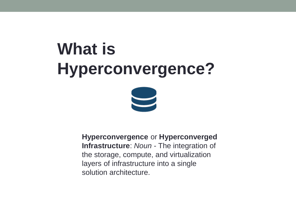# **What is Hyperconvergence?**



**Hyperconvergence** or **Hyperconverged Infrastructure**: *Noun* - The integration of the storage, compute, and virtualization layers of infrastructure into a single solution architecture.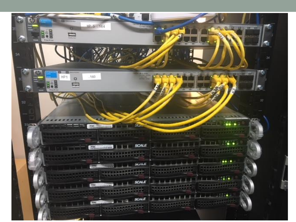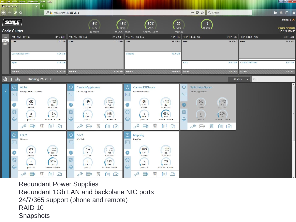

Redundant Power Supplies Redundant 1Gb LAN and backplane NIC ports 24/7/365 support (phone and remote) RAID 10 **Snapshots**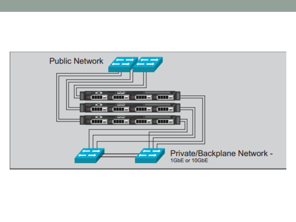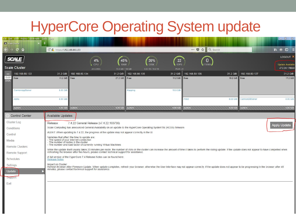### HyperCore Operating System update

| File Edit View History Bookmarks Tools Help<br>S Scale Cluster<br>$\times$ $+$ |                                                                                                                                                                                                                          |                                         |                                         |                   |                                        |                                                                                                                                                                                                                    | $\Box$ $\Box$ $\Box$         |  |  |
|--------------------------------------------------------------------------------|--------------------------------------------------------------------------------------------------------------------------------------------------------------------------------------------------------------------------|-----------------------------------------|-----------------------------------------|-------------------|----------------------------------------|--------------------------------------------------------------------------------------------------------------------------------------------------------------------------------------------------------------------|------------------------------|--|--|
| $\leftarrow$ $\rightarrow$ $\alpha$ $\omega$                                   | <b><i><u>D</u></i></b> https://192.168.80.133                                                                                                                                                                            |                                         |                                         |                   | ☆<br>Q Search<br>$\cdots$ $\heartsuit$ |                                                                                                                                                                                                                    | $\Box$ =<br>II\ ABP          |  |  |
|                                                                                |                                                                                                                                                                                                                          | 4%<br><b>CPU</b>                        | 45%<br>39%<br><b>RAM</b><br><b>DISK</b> | 22<br><b>IOPS</b> | $\bf{0}$<br><b>ITEMS</b>               |                                                                                                                                                                                                                    | LOGOUT X<br>Update Available |  |  |
| <b>Scale Cluster</b>                                                           |                                                                                                                                                                                                                          | 20 CORES                                | 70.0 GiB / 156 GiB<br>5.51 TB / 14.0 TB | <b>PEAK: 24</b>   |                                        |                                                                                                                                                                                                                    | v7.2.24.178658               |  |  |
| 192.168.80.133<br>$\sim$                                                       | 192.168.80.134<br>31.2 GiB                                                                                                                                                                                               | 31.2 GiB                                | 192.168.80.135                          | 31.2 GiB          | 192.168.80.136                         | 31.2 GiB<br>192.168.80.137                                                                                                                                                                                         | 31.2 GiB                     |  |  |
| RAM<br>Free<br><b>DISK</b>                                                     | 11.2 GiB<br>Free                                                                                                                                                                                                         | 27.2 GiB                                | Free                                    | 11.2 GiB Free     |                                        | 19.2 GiB<br>Free                                                                                                                                                                                                   | 17.2 GiB                     |  |  |
| CannonAppServer                                                                | 8.00 GiB                                                                                                                                                                                                                 |                                         | Mapping                                 | 16.0 GiB          |                                        |                                                                                                                                                                                                                    |                              |  |  |
| Alpha                                                                          | 8.00 GiB                                                                                                                                                                                                                 |                                         |                                         |                   | <b>FS02</b>                            | 8.00 GiB<br>CannonDBServer                                                                                                                                                                                         | 8.00 GiB                     |  |  |
| system                                                                         | 4.00 GiB<br>system                                                                                                                                                                                                       | 4.00 GiB                                | system                                  | 4.00 GiB          | system                                 | 4.00 GiB<br>system                                                                                                                                                                                                 | 4.00 GiB                     |  |  |
| <b>Control Center</b>                                                          | <b>Available Updates</b>                                                                                                                                                                                                 |                                         |                                         |                   |                                        |                                                                                                                                                                                                                    |                              |  |  |
| Cluster Log                                                                    | Release:                                                                                                                                                                                                                 | 7.4.22 General Release (v7.4.22.183736) |                                         |                   |                                        |                                                                                                                                                                                                                    |                              |  |  |
| Conditions                                                                     | <b>Apply Update</b><br>Scale Computing has announced General Availability on an update to the HyperCore Operating SystemTM (HCOS) firmware.                                                                              |                                         |                                         |                   |                                        |                                                                                                                                                                                                                    |                              |  |  |
| Control                                                                        | ALERT: When updating to 7.4.22, the progress of the update may not appear correctly in the UI.                                                                                                                           |                                         |                                         |                   |                                        |                                                                                                                                                                                                                    |                              |  |  |
| Media                                                                          | Variables that affect the time to update are:<br>- The speed of your internet connection<br>- The number of nodes in the cluster<br>- The number and load factor of currently running Virtual Machines                   |                                         |                                         |                   |                                        |                                                                                                                                                                                                                    |                              |  |  |
| <b>Remote Clusters</b>                                                         | While the update itself usually takes 20 minutes per-node, the number of VMs on the cluster can increase the amount of time it takes to perform the rolling update. If the update does not appear to have completed when |                                         |                                         |                   |                                        |                                                                                                                                                                                                                    |                              |  |  |
| Remote Support                                                                 | refreshing the browser after two hours, please contact technical support for assistance.                                                                                                                                 |                                         |                                         |                   |                                        |                                                                                                                                                                                                                    |                              |  |  |
| Schedules                                                                      | A full version of the HyperCore 7.4 Release Notes can be found here:<br><b>Release Notes</b>                                                                                                                             |                                         |                                         |                   |                                        |                                                                                                                                                                                                                    |                              |  |  |
| Settings                                                                       | Impact on Cluster:                                                                                                                                                                                                       |                                         |                                         |                   |                                        | Refresh Browser After Firmware Update. When update completes, refresh your browser, otherwise the User Interface may not appear correctly. If the update does not appear to be progressing in the browser after 45 |                              |  |  |
| Update                                                                         | minutes, please contact technical support for assistance.                                                                                                                                                                |                                         |                                         |                   |                                        |                                                                                                                                                                                                                    |                              |  |  |
| Support                                                                        |                                                                                                                                                                                                                          |                                         |                                         |                   |                                        |                                                                                                                                                                                                                    |                              |  |  |
| Exit                                                                           |                                                                                                                                                                                                                          |                                         |                                         |                   |                                        |                                                                                                                                                                                                                    |                              |  |  |
|                                                                                |                                                                                                                                                                                                                          |                                         |                                         |                   |                                        |                                                                                                                                                                                                                    |                              |  |  |
|                                                                                |                                                                                                                                                                                                                          |                                         |                                         |                   |                                        |                                                                                                                                                                                                                    |                              |  |  |
|                                                                                |                                                                                                                                                                                                                          |                                         |                                         |                   |                                        |                                                                                                                                                                                                                    |                              |  |  |
|                                                                                |                                                                                                                                                                                                                          |                                         |                                         |                   |                                        |                                                                                                                                                                                                                    |                              |  |  |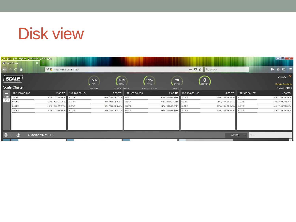## Disk view

|                                                                                               | File Edit View History Bookmarks Tools Help<br>S Scale Cluster | $+$<br>$\times$   |                |                   |                    |                   |                                                    |                |                    |                |                              |
|-----------------------------------------------------------------------------------------------|----------------------------------------------------------------|-------------------|----------------|-------------------|--------------------|-------------------|----------------------------------------------------|----------------|--------------------|----------------|------------------------------|
| $\leftarrow$ $\rightarrow$ $\alpha$ $\alpha$<br><b><i><u>D</u></i></b> https://192.168.80.133 |                                                                |                   |                |                   |                    |                   | $\cdots$ $\circ$ $\uparrow$ $\circ$ $\circ$ Search |                |                    |                | III\ ASP<br>$\Box$<br>肩      |
|                                                                                               | <b>SCALE</b>                                                   |                   |                | 5%<br>CPU<br>RAM  | 45%                | 39%<br>DISK       | 26<br><b>IOPS</b>                                  |                | $\bf{0}$<br>ITEMS. |                | LOGOUT X<br>Update Available |
|                                                                                               | Scale Cluster                                                  |                   |                | 20 CORES          | 70.0 GiB / 156 GiB | 5.51 TB / 14.0 TB | <b>PEAK: 170</b>                                   |                |                    |                | v7.2.24.178658               |
| $\sim$                                                                                        | 192.168.80.133                                                 | 2.00 TB           | 192.168.80.134 | $2.00$ TB         |                    | 192.168.80.135    | $2.00$ TB                                          | 192.168.80.136 | 4.00 TB            | 192.168.80.137 | 4.00 TB                      |
| RAM<br>DISK                                                                                   | SLOT:0                                                         | 41% / 500 GB SATA | SLOT:0         | 43% / 500 GB SATA | SLOT:0             |                   | 43% / 500 GB SATA                                  | SLOT:0         | 37% / 1.00 TB SATA | SLOT:0         | 36% / 1.00 TB SATA           |
|                                                                                               | SLOT:1                                                         | 43% / 500 GB SATA | SLOT:1         | 42% / 500 GB SATA | SLOT:1             |                   | 43% / 500 GB SATA                                  | SLOT:1         | 36% / 1.00 TB SATA | SLOT:1         | 38% / 1.00 TB SATA           |
|                                                                                               | SLOT:2                                                         | 42% / 500 GB SATA | SLOT:2         | 42% / 500 GB SATA | SLOT:2             |                   | 42% / 500 GB SATA                                  | SLOT:2         | 36% / 1.00 TB SATA | SLOT:2         | 38% / 1.00 TB SATA           |
|                                                                                               | SLOT:3                                                         | 43% / 500 GB SATA | SLOT:3         | 43% / 500 GB SATA | SLOT:3             |                   | 44% / 500 GB SATA                                  | SLOT:3         | 36% / 1.00 TB SATA | SLOT:3         | 37% / 1.00 TB SATA           |
| <b>@ + +</b><br>Running VMs: 6/8<br>All VMs<br>filter.<br>$\overline{\phantom{a}}$            |                                                                |                   |                |                   |                    |                   |                                                    |                |                    | ⊡              |                              |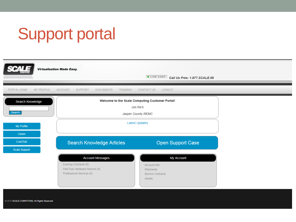# Support portal

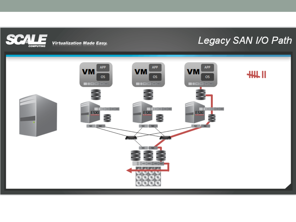

**Virtualization Made Easy.** 

#### Legacy SAN I/O Path

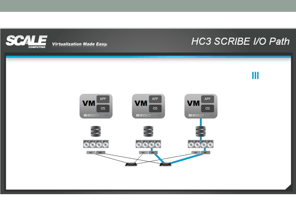

**Virtualization Made Easy.** 

#### HC3 SCRIBE I/O Path

 $\mathbf{m}$ 

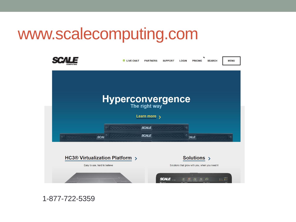### www.scalecomputing.com



1-877-722-5359